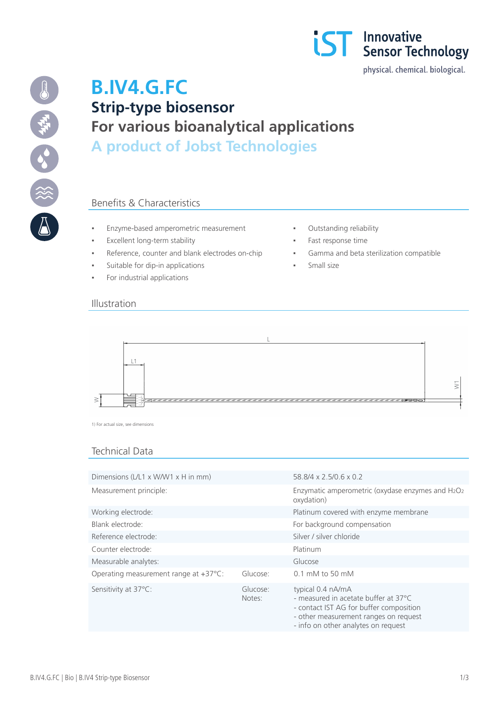



# **B.IV4.G.FC Strip-type biosensor For various bioanalytical applications A product of Jobst Technologies**

## Benefits & Characteristics

- Enzyme-based amperometric measurement **· Cutstanding reliability**
- **Excellent long-term stability**  $\qquad \qquad$  **Fast response time**
- Reference, counter and blank electrodes on-chip **· Gamma and beta sterilization compatible**
- Suitable for dip-in applications  Small size
- For industrial applications
- 
- 
- 
- 

#### Illustration



1) For actual size, see dimensions

#### Technical Data

| Dimensions (L/L1 x W/W1 x H in mm)              |                    | 58.8/4 x 2.5/0.6 x 0.2                                                                                                                        |
|-------------------------------------------------|--------------------|-----------------------------------------------------------------------------------------------------------------------------------------------|
| Measurement principle:                          |                    | Enzymatic amperometric (oxydase enzymes and H2O2<br>oxydation)                                                                                |
| Working electrode:                              |                    | Platinum covered with enzyme membrane                                                                                                         |
| Blank electrode:                                |                    | For background compensation                                                                                                                   |
| Reference electrode:                            |                    | Silver / silver chloride                                                                                                                      |
| Counter electrode:                              |                    | Platinum                                                                                                                                      |
| Measurable analytes:                            |                    | Glucose                                                                                                                                       |
| Operating measurement range at $+37^{\circ}$ C: | Glucose:           | $0.1$ mM to 50 mM                                                                                                                             |
| Sensitivity at 37°C:                            | Glucose:<br>Notes: | typical 0.4 nA/mA<br>- measured in acetate buffer at 37°C<br>- contact IST AG for buffer composition<br>- other measurement ranges on request |

- info on other analytes on request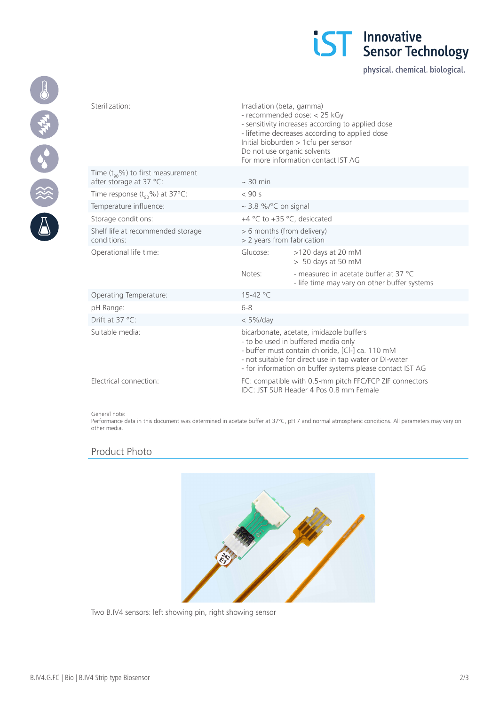

physical. chemical. biological.

| Sterilization:                                                     | Irradiation (beta, gamma)<br>- recommended dose: < 25 kGy<br>- sensitivity increases according to applied dose<br>- lifetime decreases according to applied dose<br>Initial bioburden > 1cfu per sensor<br>Do not use organic solvents<br>For more information contact IST AG |                                                                                       |
|--------------------------------------------------------------------|-------------------------------------------------------------------------------------------------------------------------------------------------------------------------------------------------------------------------------------------------------------------------------|---------------------------------------------------------------------------------------|
| Time $(t_{q_0}\%)$ to first measurement<br>after storage at 37 °C: | $\sim$ 30 min                                                                                                                                                                                                                                                                 |                                                                                       |
| Time response $(t_{90}\%)$ at 37°C:                                | $<$ 90 s                                                                                                                                                                                                                                                                      |                                                                                       |
| Temperature influence:                                             | ~ 3.8 %/ $\degree$ C on signal                                                                                                                                                                                                                                                |                                                                                       |
| Storage conditions:                                                | +4 °C to +35 °C, desiccated                                                                                                                                                                                                                                                   |                                                                                       |
| Shelf life at recommended storage<br>conditions:                   | > 6 months (from delivery)<br>> 2 years from fabrication                                                                                                                                                                                                                      |                                                                                       |
| Operational life time:                                             | Glucose:                                                                                                                                                                                                                                                                      | $>120$ days at 20 mM<br>$> 50$ days at 50 mM                                          |
|                                                                    | Notes:                                                                                                                                                                                                                                                                        | - measured in acetate buffer at 37 °C<br>- life time may vary on other buffer systems |
| Operating Temperature:                                             | 15-42 °C                                                                                                                                                                                                                                                                      |                                                                                       |
| pH Range:                                                          | $6 - 8$                                                                                                                                                                                                                                                                       |                                                                                       |
| Drift at $37^{\circ}$ C:                                           | $< 5\%$ /day                                                                                                                                                                                                                                                                  |                                                                                       |
| Suitable media:                                                    | bicarbonate, acetate, imidazole buffers<br>- to be used in buffered media only<br>- buffer must contain chloride, [Cl-] ca. 110 mM<br>- not suitable for direct use in tap water or DI-water<br>- for information on buffer systems please contact IST AG                     |                                                                                       |
| Electrical connection:                                             | FC: compatible with 0.5-mm pitch FFC/FCP ZIF connectors<br>IDC: JST SUR Header 4 Pos 0.8 mm Female                                                                                                                                                                            |                                                                                       |

#### General note:

Performance data in this document was determined in acetate buffer at 37°C, pH 7 and normal atmospheric conditions. All parameters may vary on other media.

## Product Photo



Two B.IV4 sensors: left showing pin, right showing sensor